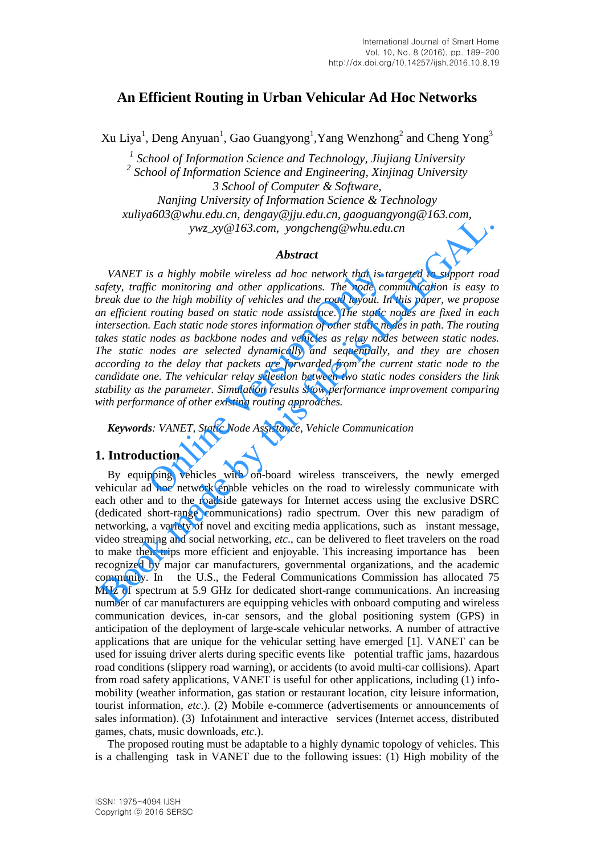# **An Efficient Routing in Urban Vehicular Ad Hoc Networks**

Xu Liya<sup>1</sup>, Deng Anyuan<sup>1</sup>, Gao Guangyong<sup>1</sup>, Yang Wenzhong<sup>2</sup> and Cheng Yong<sup>3</sup>

<sup>1</sup> School of Information Science and Technology, Jiujiang University *2 School of Information Science and Engineering, Xinjinag University 3 School of Computer & Software, Nanjing University of Information Science & Technology xuliya603@whu.edu.cn, dengay@jju.edu.cn, gaoguangyong@163.com, ywz\_xy@163.com, yongcheng@whu.edu.cn* 

# *Abstract*

*VANET is a highly mobile wireless ad hoc network that is targeted to support road safety, traffic monitoring and other applications. The node communication is easy to break due to the high mobility of vehicles and the road layout. In this paper, we propose an efficient routing based on static node assistance. The static nodes are fixed in each intersection. Each static node stores information of other static nodes in path. The routing takes static nodes as backbone nodes and vehicles as relay nodes between static nodes. The static nodes are selected dynamically and sequentially, and they are chosen according to the delay that packets are forwarded from the current static node to the candidate one. The vehicular relay selection between two static nodes considers the link stability as the parameter. Simulation results show performance improvement comparing with performance of other existing routing approaches.*  is a highly mobile wireless ad hoc network that is tain<br>fic monitoring and other applications. The node com<br>o the high mobility of vehicles and the road layout. In<br>routing based on static node assistance. The static no<br>nod xancyaoos winnetation, energies  $g_0$  encession,  $g_0$  expressions,  $\mu$  and  $\mu$  and  $\mu$  and  $\mu$  and  $\mu$  and  $\mu$  and  $\mu$  and  $\mu$  and  $\mu$  and  $\mu$  and  $\mu$  and  $\mu$  and  $\mu$  and  $\mu$  and  $\mu$  and  $\mu$  and  $\mu$  and

*Keywords: VANET, Static Node Assistance, Vehicle Communication* 

# **1. Introduction**

By equipping vehicles with on-board wireless transceivers, the newly emerged vehicular ad hoc network enable vehicles on the road to wirelessly communicate with each other and to the roadside gateways for Internet access using the exclusive DSRC (dedicated short-range communications) radio spectrum. Over this new paradigm of networking, a variety of novel and exciting media applications, such as instant message, video streaming and social networking, *etc*., can be delivered to fleet travelers on the road to make their trips more efficient and enjoyable. This increasing importance has been recognized by major car manufacturers, governmental organizations, and the academic community. In the U.S., the Federal Communications Commission has allocated 75 MHz of spectrum at 5.9 GHz for dedicated short-range communications. An increasing number of car manufacturers are equipping vehicles with onboard computing and wireless communication devices, in-car sensors, and the global positioning system (GPS) in anticipation of the deployment of large-scale vehicular networks. A number of attractive applications that are unique for the vehicular setting have emerged [1]. VANET can be used for issuing driver alerts during specific events like potential traffic jams, hazardous road conditions (slippery road warning), or accidents (to avoid multi-car collisions). Apart from road safety applications, VANET is useful for other applications, including (1) infomobility (weather information, gas station or restaurant location, city leisure information, tourist information, *etc*.). (2) Mobile e-commerce (advertisements or announcements of sales information). (3) Infotainment and interactive services (Internet access, distributed games, chats, music downloads, *etc*.).

The proposed routing must be adaptable to a highly dynamic topology of vehicles. This is a challenging task in VANET due to the following issues: (1) High mobility of the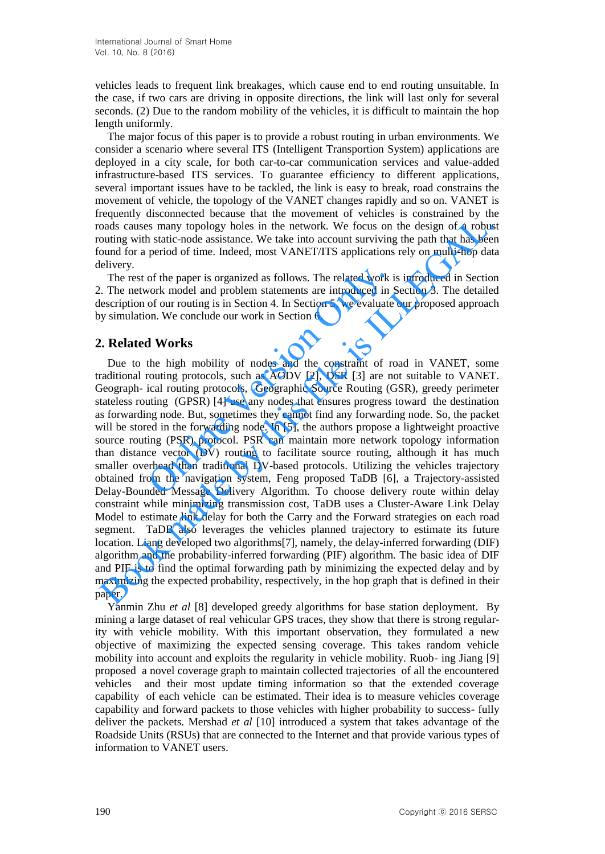vehicles leads to frequent link breakages, which cause end to end routing unsuitable. In the case, if two cars are driving in opposite directions, the link will last only for several seconds. (2) Due to the random mobility of the vehicles, it is difficult to maintain the hop length uniformly.

The major focus of this paper is to provide a robust routing in urban environments. We consider a scenario where several ITS (Intelligent Transportion System) applications are deployed in a city scale, for both car-to-car communication services and value-added infrastructure-based ITS services. To guarantee efficiency to different applications, several important issues have to be tackled, the link is easy to break, road constrains the movement of vehicle, the topology of the VANET changes rapidly and so on. VANET is frequently disconnected because that the movement of vehicles is constrained by the roads causes many topology holes in the network. We focus on the design of a robust routing with static-node assistance. We take into account surviving the path that has been found for a period of time. Indeed, most VANET/ITS applications rely on multi-hop data delivery.

The rest of the paper is organized as follows. The related work is introduced in Section 2. The network model and problem statements are introduced in Section 3. The detailed description of our routing is in Section 4. In Section 5, we evaluate our proposed approach by simulation. We conclude our work in Section 6.

# **2. Related Works**

Due to the high mobility of nodes and the constraint of road in VANET, some traditional routing protocols, such as AODV [2], DSR [3] are not suitable to VANET. Geograph- ical routing protocols, Geographic Source Routing (GSR), greedy perimeter stateless routing (GPSR) [4] use any nodes that ensures progress toward the destination as forwarding node. But, sometimes they cannot find any forwarding node. So, the packet will be stored in the forwarding node. In [5], the authors propose a lightweight proactive source routing (PSR) protocol. PSR can maintain more network topology information than distance vector (DV) routing to facilitate source routing, although it has much smaller overhead than traditional DV-based protocols. Utilizing the vehicles trajectory obtained from the navigation system, Feng proposed TaDB [6], a Trajectory-assisted Delay-Bounded Message Delivery Algorithm. To choose delivery route within delay constraint while minimizing transmission cost, TaDB uses a Cluster-Aware Link Delay Model to estimate link delay for both the Carry and the Forward strategies on each road segment. TaDB also leverages the vehicles planned trajectory to estimate its future location. Liang developed two algorithms[7], namely, the delay-inferred forwarding (DIF) algorithm and the probability-inferred forwarding (PIF) algorithm. The basic idea of DIF and PIF is to find the optimal forwarding path by minimizing the expected delay and by maximizing the expected probability, respectively, in the hop graph that is defined in their paper. of the paper is organized as follows. The related work i<br>vork model and problem statements are introduced in 5<br>of our routing is in Section 4. In Section 5, we evaluate<br>on. We conclude our work in Section 6.<br>**1 Works**<br>the example mathemole and the new other than the proposed in The theorem is observated by this salisation of the distingent of production for a period of time. Indeed, most VANET/TIS applications rely by multi-hop dat bound fo

Yanmin Zhu *et al* [8] developed greedy algorithms for base station deployment. By mining a large dataset of real vehicular GPS traces, they show that there is strong regularity with vehicle mobility. With this important observation, they formulated a new objective of maximizing the expected sensing coverage. This takes random vehicle mobility into account and exploits the regularity in vehicle mobility. Ruob- ing Jiang [9] proposed a novel coverage graph to maintain collected trajectories of all the encountered vehicles and their most update timing information so that the extended coverage capability of each vehicle can be estimated. Their idea is to measure vehicles coverage capability and forward packets to those vehicles with higher probability to success- fully deliver the packets. Mershad *et al* [10] introduced a system that takes advantage of the Roadside Units (RSUs) that are connected to the Internet and that provide various types of information to VANET users.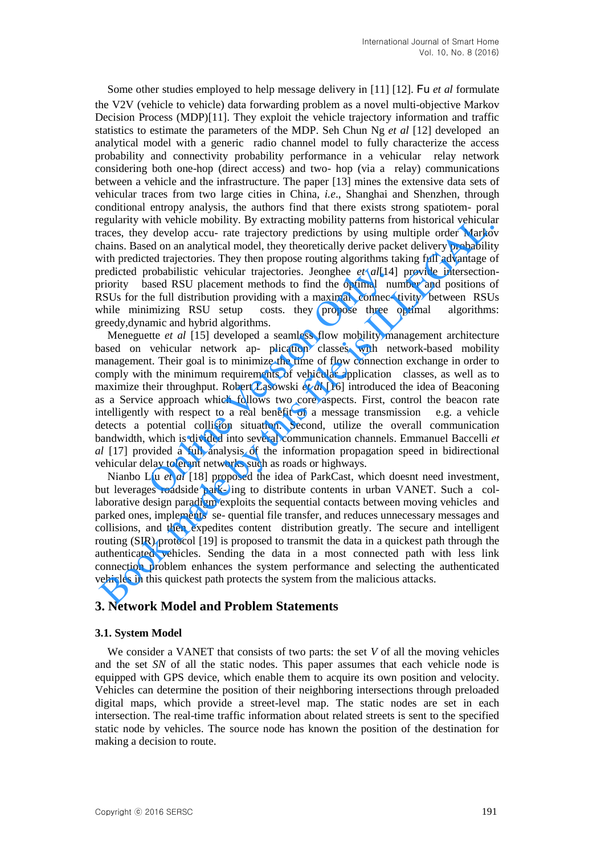Some other studies employed to help message delivery in [11] [12]. Fu *et al* formulate the V2V (vehicle to vehicle) data forwarding problem as a novel multi-objective Markov Decision Process (MDP)[11]. They exploit the vehicle trajectory information and traffic statistics to estimate the parameters of the MDP. Seh Chun Ng *et al* [12] developed an analytical model with a generic radio channel model to fully characterize the access probability and connectivity probability performance in a vehicular relay network considering both one-hop (direct access) and two- hop (via a relay) communications between a vehicle and the infrastructure. The paper [13] mines the extensive data sets of vehicular traces from two large cities in China, *i.e*., Shanghai and Shenzhen, through conditional entropy analysis, the authors find that there exists strong spatiotem- poral regularity with vehicle mobility. By extracting mobility patterns from historical vehicular traces, they develop accu- rate trajectory predictions by using multiple order Markov chains. Based on an analytical model, they theoretically derive packet delivery probability with predicted trajectories. They then propose routing algorithms taking full advantage of predicted probabilistic vehicular trajectories. Jeonghee *et al*[14] provide intersectionpriority based RSU placement methods to find the optimal number and positions of RSUs for the full distribution providing with a maximal connec- tivity between RSUs while minimizing RSU setup costs, they propose three optimal algorithms: greedy,dynamic and hybrid algorithms.

Meneguette *et al* [15] developed a seamless flow mobility management architecture based on vehicular network ap- plication classes with network-based mobility management. Their goal is to minimize the time of flow connection exchange in order to comply with the minimum requirements of vehicular application classes, as well as to maximize their throughput. Robert Lasowski *et al* [16] introduced the idea of Beaconing as a Service approach which follows two core aspects. First, control the beacon rate intelligently with respect to a real benefit of a message transmission e.g. a vehicle detects a potential collision situation. Second, utilize the overall communication bandwidth, which is divided into several communication channels. Emmanuel Baccelli *et al* [17] provided a full analysis of the information propagation speed in bidirectional vehicular delay tolerant networks such as roads or highways. probabilistic vehicular trajectories. Jeonghee *et al*[14] ased RSU placement methods to find the optimal nu e full distribution providing with a maximal connec-<br>imizing RSU setup costs. they propose three amic and hybrid egularity with vericle molitity. By extracting molitity patterns from historical vehicular<br>reaces, they develop accu- rate trajectory predictions by using multiple order Marko<br>hains. Based on an analytical model, they theo

Nianbo Liu *et al* [18] proposed the idea of ParkCast, which doesnt need investment, but leverages roadside park- ing to distribute contents in urban VANET. Such a collaborative design paradigm exploits the sequential contacts between moving vehicles and parked ones, implements se- quential file transfer, and reduces unnecessary messages and collisions, and then expedites content distribution greatly. The secure and intelligent routing (SIR) protocol [19] is proposed to transmit the data in a quickest path through the authenticated vehicles. Sending the data in a most connected path with less link connection problem enhances the system performance and selecting the authenticated vehicles in this quickest path protects the system from the malicious attacks.

# **3. Network Model and Problem Statements**

# **3.1. System Model**

We consider a VANET that consists of two parts: the set *V* of all the moving vehicles and the set *SN* of all the static nodes. This paper assumes that each vehicle node is equipped with GPS device, which enable them to acquire its own position and velocity. Vehicles can determine the position of their neighboring intersections through preloaded digital maps, which provide a street-level map. The static nodes are set in each intersection. The real-time traffic information about related streets is sent to the specified static node by vehicles. The source node has known the position of the destination for making a decision to route.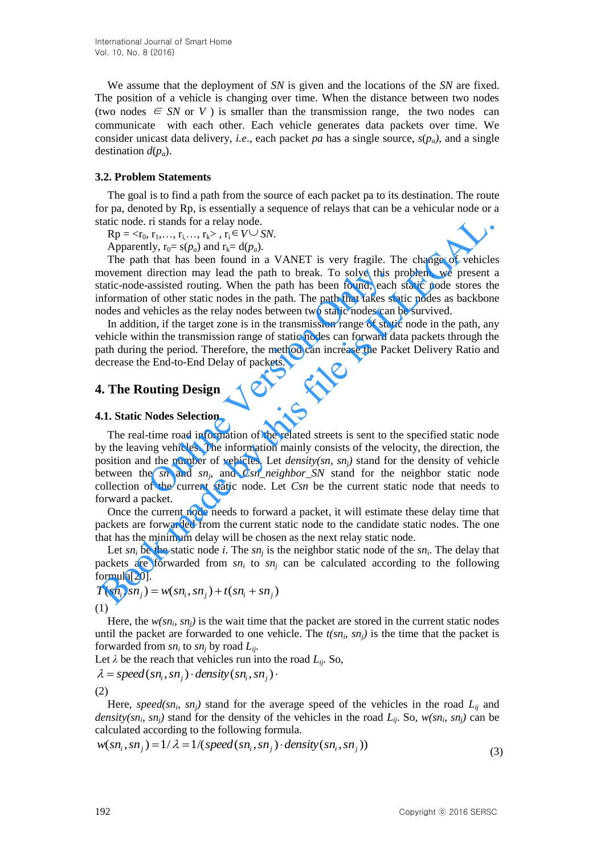We assume that the deployment of *SN* is given and the locations of the *SN* are fixed. The position of a vehicle is changing over time. When the distance between two nodes (two nodes  $\in SN$  or *V*) is smaller than the transmission range, the two nodes can communicate with each other. Each vehicle generates data packets over time. We consider unicast data delivery, *i.e.*, each packet *pa* has a single source,  $s(p_a)$ , and a single destination *d*(*pa*).

### **3.2. Problem Statements**

The goal is to find a path from the source of each packet pa to its destination. The route for pa, denoted by Rp, is essentially a sequence of relays that can be a vehicular node or a static node. ri stands for a relay node.

 $Rp = ,  $r_i \in V \cup SN$ .$ 

Apparently,  $r_0 = s(p_a)$  and  $r_k = d(p_a)$ .

The path that has been found in a VANET is very fragile. The change of vehicles movement direction may lead the path to break. To solve this problem, we present a static-node-assisted routing. When the path has been found, each static node stores the information of other static nodes in the path. The path that takes static nodes as backbone nodes and vehicles as the relay nodes between two static nodes can be survived.

In addition, if the target zone is in the transmission range of static node in the path, any vehicle within the transmission range of static nodes can forward data packets through the path during the period. Therefore, the method can increase the Packet Delivery Ratio and decrease the End-to-End Delay of packets.

# **4. The Routing Design**

### **4.1. Static Nodes Selection**

The real-time road information of the related streets is sent to the specified static node by the leaving vehicles. The information mainly consists of the velocity, the direction, the position and the number of vehicles. Let *density(sn, snj)* stand for the density of vehicle between the *sn* and *sn<sup>j</sup>* , and *Csn\_neighbor\_SN* stand for the neighbor static node collection of the current static node. Let *Csn* be the current static node that needs to forward a packet. direction may lead the path to break. To solve this assisted routing. When the path has been found, each of other static nodes in the path. The path that takes stehicles as the relay nodes between two static nodes can on, tatic node. ri stands for a relay node.<br>
Repeate,  $r_1, r_2, r_3, r_4, r_5, \ldots, r_{k-1}$ ,  $r_{k-1}$ ,  $r_{k-1}$ ,  $r_{k-1}$ ,  $r_{k-1}$ ,  $r_{k-1}$ ,  $r_{k-1}$ ,  $r_{k-1}$ ,  $r_{k-1}$ ,  $r_{k-1}$ ,  $r_{k-1}$ ,  $r_{k-1}$ ,  $r_{k-1}$ ,  $r_{k-1}$ ,  $r_{k-1}$ 

Once the current node needs to forward a packet, it will estimate these delay time that packets are forwarded from the current static node to the candidate static nodes. The one that has the minimum delay will be chosen as the next relay static node.

Let  $sn_i$  be the static node *i*. The  $sn_j$  is the neighbor static node of the  $sn_i$ . The delay that packets are forwarded from  $sn_i$  to  $sn_j$  can be calculated according to the following formula[20].

$$
T(s n_i, s n_j) = w(s n_i, s n_j) + t(s n_i + s n_j)
$$
  
(1)

Here, the  $w(\textit{sn}_i, \textit{sn}_j)$  is the wait time that the packet are stored in the current static nodes until the packet are forwarded to one vehicle. The  $t(sn_i, sn_j)$  is the time that the packet is forwarded from *sn<sup>i</sup>* to *sn<sup>j</sup>* by road *Lij*.

Let  $\lambda$  be the reach that vehicles run into the road  $L_{ij}$ . So,

 $\lambda = speed(sn_i, sn_j) \cdot density(sn_i, sn_j) \cdot$ (2)

Here, *speed(sn<sub>i</sub>*, *sn<sub>j</sub>*) stand for the average speed of the vehicles in the road  $L_{ij}$  and *density(sn<sub>i</sub>*, *sn<sub>j</sub>*) stand for the density of the vehicles in the road  $L_{ij}$ . So,  $w(sn_i, sn_j)$  can be calculated according to the following formula.

$$
w(sn_i, sn_j) = 1/\lambda = 1/(speed(sn_i, sn_j) \cdot density(sn_i, sn_j))
$$
\n(3)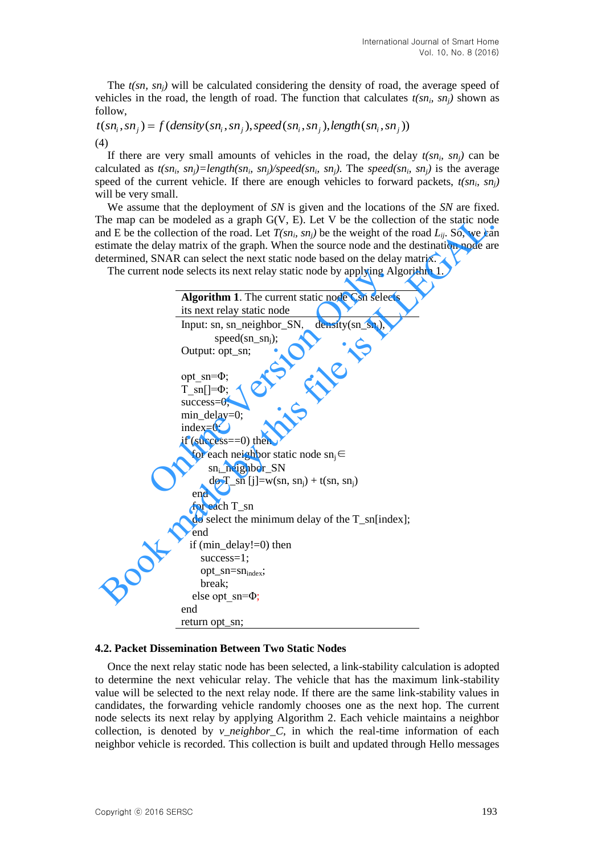The *t(sn, snj)* will be calculated considering the density of road, the average speed of vehicles in the road, the length of road. The function that calculates  $t(sn_i, sn_j)$  shown as follow,

$$
t(sn_i, sn_j) = f(density(sn_i, sn_j), speed(sn_i, sn_j), length(sn_i, sn_j))
$$
  
(4)

If there are very small amounts of vehicles in the road, the delay  $t(sn_i, sn_j)$  can be calculated as  $t(sn_i, sn_j) = length(sn_i, sn_j)/speed(sn_i, sn_j)$ . The *speed*(sn<sub>*i*</sub>, sn<sub>*j*</sub>) is the average speed of the current vehicle. If there are enough vehicles to forward packets,  $t(sn_i, sn_j)$ will be very small.

We assume that the deployment of *SN* is given and the locations of the *SN* are fixed. The map can be modeled as a graph  $G(V, E)$ . Let V be the collection of the static node and E be the collection of the road. Let  $T(sn_i, sn_j)$  be the weight of the road  $L_{ij}$ . So, we can estimate the delay matrix of the graph. When the source node and the destination node are determined, SNAR can select the next static node based on the delay matrix.

| The map can be modeled as a graph $G(V, E)$ . Let V be the collection of the static nod               |
|-------------------------------------------------------------------------------------------------------|
| and E be the collection of the road. Let $T(sn_i, sn_i)$ be the weight of the road $L_i$ . So, we can |
| estimate the delay matrix of the graph. When the source node and the destination node are             |
| letermined, SNAR can select the next static node based on the delay matrix.                           |
| The current node selects its next relay static node by applying Algorithm 1.                          |
|                                                                                                       |
| Algorithm 1. The current static node Csn selects                                                      |
| its next relay static node                                                                            |
| Input: sn, sn_neighbor_SN, density $(\text{sn\_sn}_i)$ ,                                              |
| $speed(sn\_sn_i);$                                                                                    |
| Output: opt_sn;                                                                                       |
|                                                                                                       |
| opt $sn = \Phi$ ;                                                                                     |
| $T \sin[-\Phi;$                                                                                       |
| $success=0$ ;                                                                                         |
| $min\_delay=0;$                                                                                       |
| $index=0;$                                                                                            |
| if (success $==0$ ) then                                                                              |
| for each neighbor static node $\text{sn}_i \in$                                                       |
| $sn_i$ neighbor $SN$                                                                                  |
| do T_sn [j]=w(sn, sn <sub>i</sub> ) + t(sn, sn <sub>i</sub> )                                         |
| end                                                                                                   |
| for each $T$ _sn                                                                                      |
| do select the minimum delay of the T_sn[index];                                                       |
| end                                                                                                   |
| if $(min\_delay!=0)$ then                                                                             |
| $success=1;$                                                                                          |
| opt_sn=sn <sub>index</sub> ;                                                                          |
| break;                                                                                                |
| else opt $sn=\Phi$ ;                                                                                  |
| end                                                                                                   |
| return opt_sn;                                                                                        |

#### **4.2. Packet Dissemination Between Two Static Nodes**

Once the next relay static node has been selected, a link-stability calculation is adopted to determine the next vehicular relay. The vehicle that has the maximum link-stability value will be selected to the next relay node. If there are the same link-stability values in candidates, the forwarding vehicle randomly chooses one as the next hop. The current node selects its next relay by applying Algorithm 2. Each vehicle maintains a neighbor collection, is denoted by *v* neighbor C, in which the real-time information of each neighbor vehicle is recorded. This collection is built and updated through Hello messages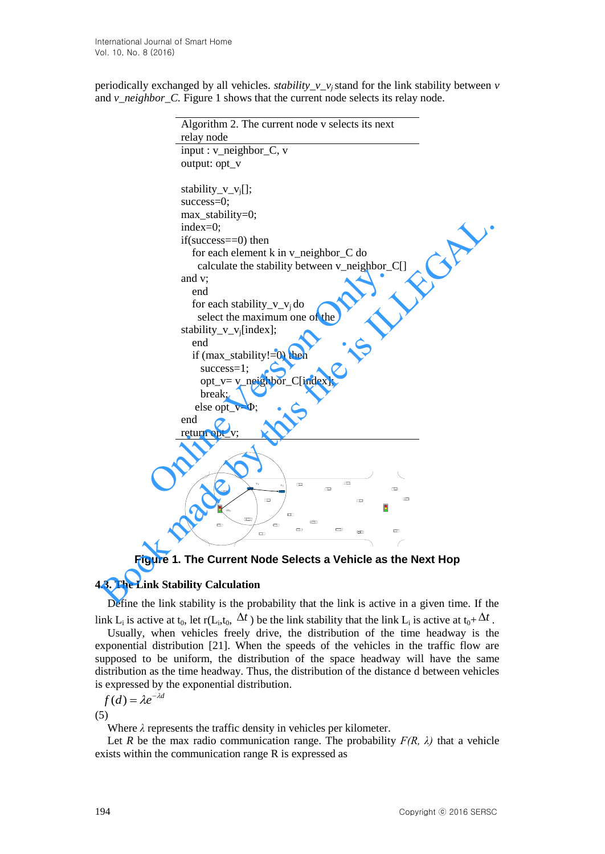periodically exchanged by all vehicles. *stability\_v\_v<sub>i</sub>*stand for the link stability between *v* and *v\_neighbor\_C.* Figure 1 shows that the current node selects its relay node.

```
Algorithm 2. The current node v selects its next 
                              relay node
                               input : v neighbor C, voutput: opt_v
                               stability_v_v<sub>i</sub>[];
                               success=0;
                               max_stability=0;
                               index=0;
                               if(success==0) then
                                   for each element k in v_neighbor_C do
                                      calculate the stability between v_neighbor_C[]
                               and v;
                                   end
                                   for each stability_v_v<sub>i</sub> do
                                      select the maximum one of the 
                               stability_v_v<sub>i</sub>[index];
                                   end
                                   if (max_stability!=0) then
                                      success=1;
                                       opt_v= v_neighbor_C[index];
                                       break;
                                    else opt_v=Φ;
                               end
                              return opt_v;
                                                            v_1 v<sub>2</sub>
                                                sn1
                  enclude the stability_v_v<sub>j</sub> do<br>
elect the maximum one of the<br>
stability_v_v<sub>j</sub>[index];<br>
end<br>
if (max_stability!=0) then<br>
success=1;<br>
opt_v= v_neighbor_C[index];<br>
break;<br>
else opt_v=0;<br>
end<br>
return opt_v;
\frac{\text{Index}-\text{O}}{\text{index}-\text{O}}; if (success)=0) then<br>
for each element k in v_neighbor_C do<br>
calculate the stability between v_neighbor_C[]<br>
and v;<br>
or each stability_v_v<sub>i</sub> do<br>
select the maximum one of the<br>
stability_v_v<sub>i</sub>
```
**Figure 1. The Current Node Selects a Vehicle as the Next Hop**

# **4.3. The Link Stability Calculation**

Define the link stability is the probability that the link is active in a given time. If the

link L<sub>i</sub> is active at t<sub>0</sub>, let r(L<sub>i</sub>,t<sub>0</sub>,  $\Delta t$ ) be the link stability that the link L<sub>i</sub> is active at t<sub>0</sub>+ $\Delta t$ . Usually, when vehicles freely drive, the distribution of the time headway is the exponential distribution [21]. When the speeds of the vehicles in the traffic flow are supposed to be uniform, the distribution of the space headway will have the same distribution as the time headway. Thus, the distribution of the distance d between vehicles is expressed by the exponential distribution.

$$
f(d) = \lambda e^{-\lambda d}
$$

(5)

Where *λ* represents the traffic density in vehicles per kilometer.

Let *R* be the max radio communication range. The probability  $F(R, \lambda)$  that a vehicle exists within the communication range R is expressed as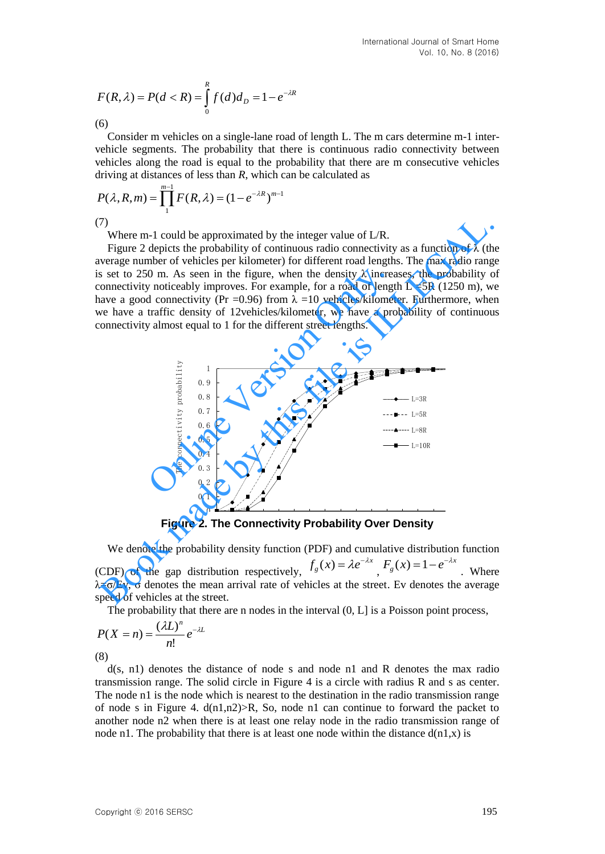$$
F(R, \lambda) = P(d < R) = \int_{0}^{R} f(d) \, d_{D} = 1 - e^{-\lambda R}
$$

(6)

Consider m vehicles on a single-lane road of length L. The m cars determine m-1 intervehicle segments. The probability that there is continuous radio connectivity between vehicles along the road is equal to the probability that there are m consecutive vehicles

driving at distances of less than *R*, which can be calculated as  

$$
P(\lambda, R, m) = \prod_{1}^{m-1} F(R, \lambda) = (1 - e^{-\lambda R})^{m-1}
$$

(7)

Where m-1 could be approximated by the integer value of L/R.

Figure 2 depicts the probability of continuous radio connectivity as a function of  $\lambda$  (the average number of vehicles per kilometer) for different road lengths. The max radio range is set to 250 m. As seen in the figure, when the density  $\lambda$  increases, the probability of connectivity noticeably improves. For example, for a road of length  $L = 5R$  (1250 m), we have a good connectivity (Pr = 0.96) from  $\lambda = 10$  vehicles/kilometer. Furthermore, when we have a traffic density of 12vehicles/kilometer, we have a probability of continuous connectivity almost equal to 1 for the different street lengths.



Figure 2. The Connectivity Probability Over Density

We denote the probability density function (PDF) and cumulative distribution function (CDF) of the gap distribution respectively,  $f_g(x) = \lambda e^{-\lambda x}$ ,  $F_g(x) = 1 - e^{-\lambda x}$ . Where  $λ = σ/Ev$ , σ denotes the mean arrival rate of vehicles at the street. Ev denotes the average speed of vehicles at the street.

The probability that there are n nodes in the interval  $(0, L)$  is a Poisson point process,

$$
P(X = n) = \frac{(\lambda L)^n}{n!} e^{-\lambda L}
$$

(8)

d(s, n1) denotes the distance of node s and node n1 and R denotes the max radio transmission range. The solid circle in Figure 4 is a circle with radius R and s as center. The node n1 is the node which is nearest to the destination in the radio transmission range of node s in Figure 4.  $d(n1,n2) > R$ , So, node n1 can continue to forward the packet to another node n2 when there is at least one relay node in the radio transmission range of node n1. The probability that there is at least one node within the distance  $d(n1,x)$  is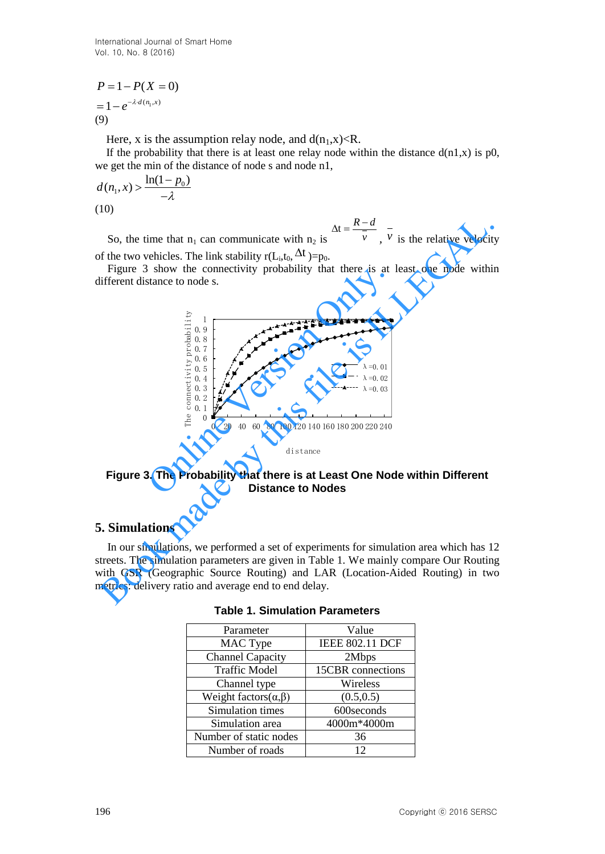International Journal of Smart Home Vol. 10, No. 8 (2016)

$$
P = 1 - P(X = 0)
$$
  
= 1 - e<sup>- $\lambda$ d(n<sub>1</sub>,x)</sup>  
(9)

Here, x is the assumption relay node, and  $d(n_1, x) < R$ .

If the probability that there is at least one relay node within the distance  $d(n1,x)$  is p0, we get the min of the distance of node s and node n1,

$$
d(n_1, x) > \frac{\ln(1 - p_0)}{-\lambda}
$$
  
(10)

$$
\Delta t = \frac{R - d}{\tau}
$$

So, the time that  $n_1$  can communicate with  $n_2$  is  $\bar{\nu}$  $, v$  is the relative velocity of the two vehicles. The link stability  $r(L_i, t_0, \Delta t) = p_0$ .

Figure 3 show the connectivity probability that there is at least one node within different distance to node s.



distance

# **Figure 3. The Probability that there is at Least One Node within Different Distance to Nodes**

# **5. Simulations**

In our simulations, we performed a set of experiments for simulation area which has 12 streets. The simulation parameters are given in Table 1. We mainly compare Our Routing with GSR (Geographic Source Routing) and LAR (Location-Aided Routing) in two metrics: delivery ratio and average end to end delay.

| Parameter                        | Value                  |
|----------------------------------|------------------------|
| MAC Type                         | <b>IEEE 802.11 DCF</b> |
| <b>Channel Capacity</b>          | 2Mbps                  |
| <b>Traffic Model</b>             | 15CBR connections      |
| Channel type                     | Wireless               |
| Weight factors $(\alpha, \beta)$ | (0.5, 0.5)             |
| Simulation times                 | 600seconds             |
| Simulation area                  | 4000m*4000m            |
| Number of static nodes           | 36                     |
| Number of roads                  | 12                     |

|  |  |  |  |  | <b>Table 1. Simulation Parameters</b> |
|--|--|--|--|--|---------------------------------------|
|--|--|--|--|--|---------------------------------------|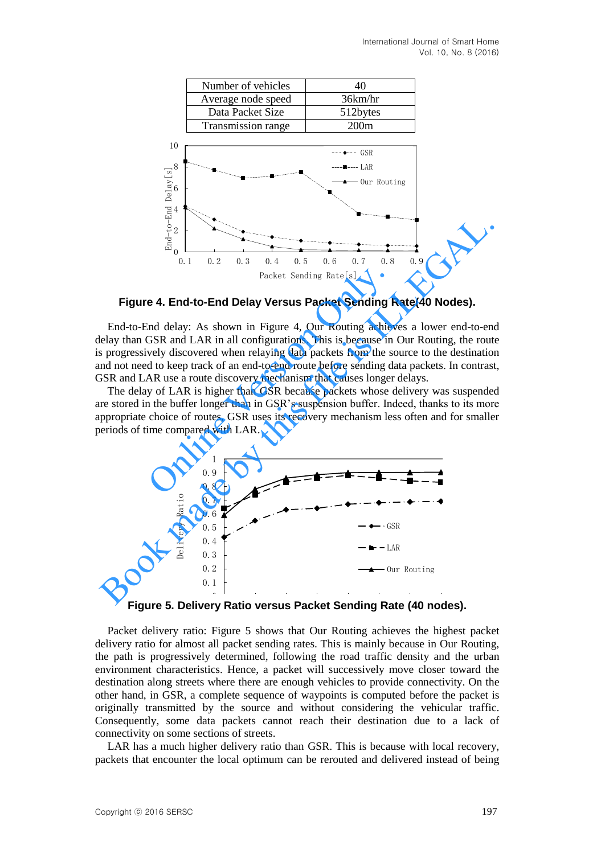

#### **Figure 4. End-to-End Delay Versus Packet Sending Rate(40 Nodes).**

End-to-End delay: As shown in Figure 4, Our Routing achieves a lower end-to-end delay than GSR and LAR in all configurations. This is because in Our Routing, the route is progressively discovered when relaying data packets from the source to the destination and not need to keep track of an end-to-end route before sending data packets. In contrast, GSR and LAR use a route discovery mechanism that causes longer delays. Packet Sending Rate[s]<br> **e 4. End-to-End Delay Versus Packet Sending F**<br>
ind delay: As shown in Figure 4, Our Routing achieved GSR and LAR in all configurations. This is because in<br>
vely discovered when relaying data pack

The delay of LAR is higher than GSR because packets whose delivery was suspended are stored in the buffer longer than in GSR's suspension buffer. Indeed, thanks to its more appropriate choice of routes, GSR uses its recovery mechanism less often and for smaller periods of time compared with LAR.



Figure 5. Delivery Ratio versus Packet Sending Rate (40 nodes).

Packet delivery ratio: Figure 5 shows that Our Routing achieves the highest packet delivery ratio for almost all packet sending rates. This is mainly because in Our Routing, the path is progressively determined, following the road traffic density and the urban environment characteristics. Hence, a packet will successively move closer toward the destination along streets where there are enough vehicles to provide connectivity. On the other hand, in GSR, a complete sequence of waypoints is computed before the packet is originally transmitted by the source and without considering the vehicular traffic. Consequently, some data packets cannot reach their destination due to a lack of connectivity on some sections of streets.

LAR has a much higher delivery ratio than GSR. This is because with local recovery, packets that encounter the local optimum can be rerouted and delivered instead of being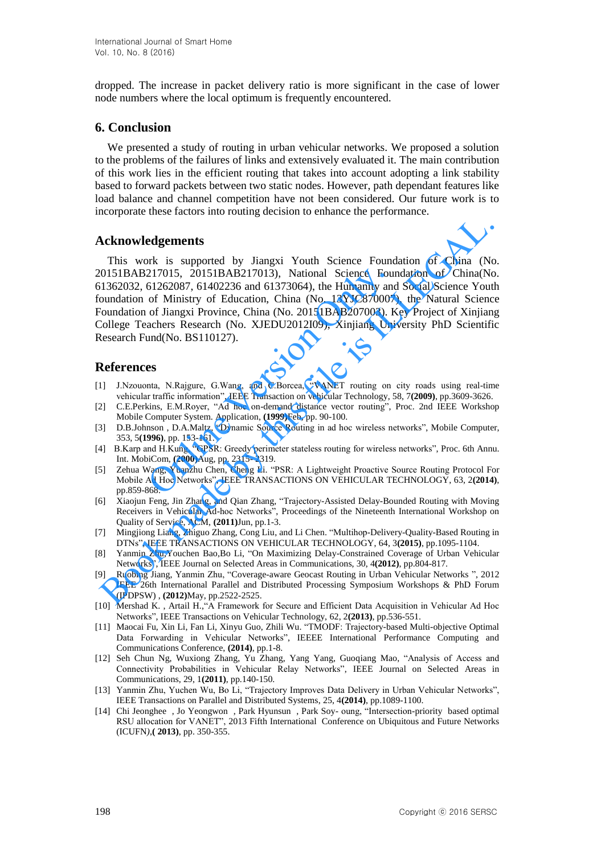dropped. The increase in packet delivery ratio is more significant in the case of lower node numbers where the local optimum is frequently encountered.

# **6. Conclusion**

We presented a study of routing in urban vehicular networks. We proposed a solution to the problems of the failures of links and extensively evaluated it. The main contribution of this work lies in the efficient routing that takes into account adopting a link stability based to forward packets between two static nodes. However, path dependant features like load balance and channel competition have not been considered. Our future work is to incorporate these factors into routing decision to enhance the performance.

# **Acknowledgements**

This work is supported by Jiangxi Youth Science Foundation of China (No. 20151BAB217015, 20151BAB217013), National Science Foundation of China(No. 61362032, 61262087, 61402236 and 61373064), the Humanity and Social Science Youth foundation of Ministry of Education, China (No. 13YJC870007), the Natural Science Foundation of Jiangxi Province, China (No. 20151BAB207003). Key Project of Xinjiang College Teachers Research (No. XJEDU2012I09), Xinjiang University PhD Scientific Research Fund(No. BS110127). 217015, 20151BAB217013), National Science Fou<br>61262087, 61402236 and 61373064), the Humanity and<br>of Ministry of Education, China (No. 13YJC870007<br>of Jiangxi Province, China (No. 20151BAB207003). F<br>achers Research (No. XJED **Acknowledgements**<br>
This work is supported by Jiangxi Youth Science Foundation of China (N:<br>
10151BAB217015, 20151BAB217013), National Science Foundation of China(Nc<br>
10151BAB217015, 20151BAB217013), National Science Found

# **References**

- [1] J.Nzouonta, N.Rajgure, G.Wang, and C.Borcea, "VANET routing on city roads using real-time vehicular traffic information", IEEE Transaction on vehicular Technology, 58, 7**(2009)**, pp.3609-3626.
- [2] C.E.Perkins, E.M.Royer, "Ad hoc on-demand distance vector routing", Proc. 2nd IEEE Workshop Mobile Computer System. Application, **(1999)**Feb, pp. 90-100.
- [3] D.B.Johnson , D.A.Maltz, "Dynamic Source Routing in ad hoc wireless networks", Mobile Computer, 353, 5**(1996)**, pp. 153-161.
- [4] B.Karp and H.Kung, "GPSR: Greedy perimeter stateless routing for wireless networks", Proc. 6th Annu. Int. MobiCom, **(2000)**Aug, pp. 2315- 2319.
- [5] Zehua Wang, Yuanzhu Chen, Cheng Li. "PSR: A Lightweight Proactive Source Routing Protocol For Mobile Ad Hoc Networks", IEEE TRANSACTIONS ON VEHICULAR TECHNOLOGY, 63, 2**(2014)**, pp.859-868.
- [6] Xiaojun Feng, Jin Zhang, and Qian Zhang, "Trajectory-Assisted Delay-Bounded Routing with Moving Receivers in Vehicular Ad-hoc Networks", Proceedings of the Nineteenth International Workshop on Quality of Service, ACM, **(2011)**Jun, pp.1-3.
- [7] Mingjiong Liang, Zhiguo Zhang, Cong Liu, and Li Chen. "Multihop-Delivery-Quality-Based Routing in DTNs", IEEE TRANSACTIONS ON VEHICULAR TECHNOLOGY, 64, 3**(2015)**, pp.1095-1104.
- [8] Yanmin Zhu,Youchen Bao,Bo Li, "On Maximizing Delay-Constrained Coverage of Urban Vehicular Networks", IEEE Journal on Selected Areas in Communications, 30, 4**(2012)**, pp.804-817.
- [9] Ruobing Jiang, Yanmin Zhu, "Coverage-aware Geocast Routing in Urban Vehicular Networks ", 2012 IEEE 26th International Parallel and Distributed Processing Symposium Workshops & PhD Forum (IPDPSW) , **(2012)**May, pp.2522-2525.
- [10] [Mershad K.](http://ieeexplore.ieee.org/search/searchresult.jsp?searchWithin=p_Authors:.QT.Mershad,%20K..QT.&newsearch=true) , [Artail H.,"](http://ieeexplore.ieee.org/search/searchresult.jsp?searchWithin=p_Authors:.QT.Artail,%20H..QT.&newsearch=true)A Framework for Secure and Efficient Data Acquisition in Vehicular Ad Hoc Networks", IEEE Transactions on Vehicular Technology, 62, 2**(2013)**, pp.536-551.
- [11] Maocai Fu, Xin Li, Fan Li, Xinyu Guo, Zhili Wu. "TMODF: Trajectory-based Multi-objective Optimal Data Forwarding in Vehicular Networks", IEEEE International Performance Computing and Communications Conference, **(2014)**, pp.1-8.
- [12] Seh Chun Ng, Wuxiong Zhang, Yu Zhang, Yang Yang, Guoqiang Mao, "Analysis of Access and Connectivity Probabilities in Vehicular Relay Networks", IEEE Journal on Selected Areas in Communications, 29, 1**(2011)**, pp.140-150.
- [13] Yanmin Zhu, Yuchen Wu, Bo Li, "Trajectory Improves Data Delivery in Urban Vehicular Networks", IEEE Transactions on Parallel and Distributed Systems, 25, 4**(2014)**, pp.1089-1100.
- [14] Chi Jeonghee , Jo Yeongwon , Park Hyunsun , Park Soy- oung, "Intersection-priority based optimal RSU allocation for VANET", 2013 Fifth International Conference on Ubiquitous and Future Networks (ICUFN*)*,**( 2013)**, pp. 350-355.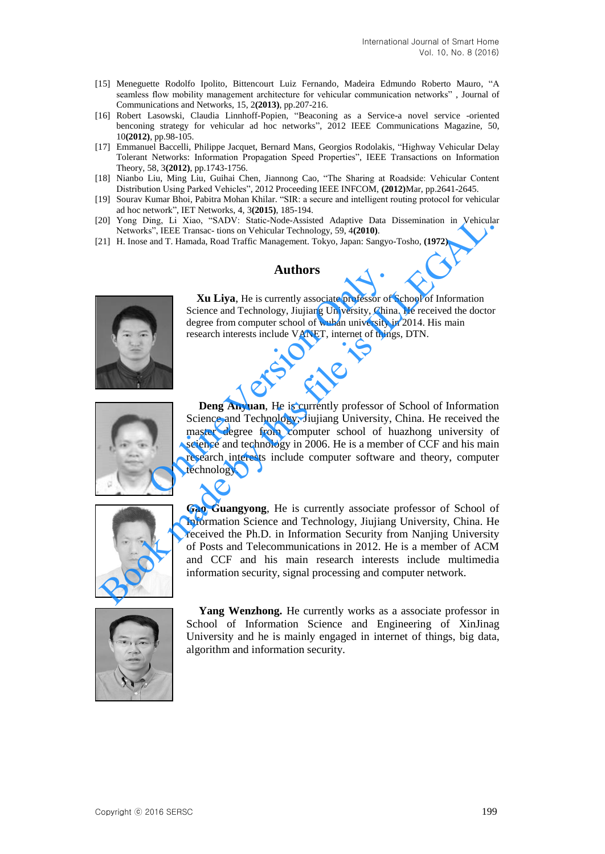- [15] Meneguette Rodolfo Ipolito, Bittencourt Luiz Fernando, Madeira Edmundo Roberto Mauro, "A seamless flow mobility management architecture for vehicular communication networks["](http://ieeexplore.ieee.org/xpl/articleDetails.jsp?tp=&arnumber=6512245&contentType=Journals+%26+Magazines&ranges%3D2013_2013_p_Publication_Year%26searchField%3DSearch_All%26queryText%3Dvehicular) , Journal of Communications and Networks, 15, 2**(2013)**, pp.207-216.
- [16] Robert Lasowski, Claudia Linnhoff-Popien, "Beaconing as a Service-a novel service -oriented benconing strategy for vehicular ad hoc networks", 2012 IEEE Communications Magazine, 50, 10**(2012)**, pp.98-105.
- [17] Emmanuel Baccelli, Philippe Jacquet, Bernard Mans, Georgios Rodolakis, "Highway Vehicular Delay Tolerant Networks: Information Propagation Speed Properties", IEEE Transactions on Information Theory, 58, 3**(2012)**, pp.1743-1756.
- [18] Nianbo Liu, Ming Liu, Guihai Chen, Jiannong Cao, "The Sharing at Roadside: Vehicular Content Distribution Using Parked Vehicles", 2012 Proceeding IEEE INFCOM, **(2012)**Mar, pp.2641-2645.
- [19] Sourav Kumar Bhoi, Pabitra Mohan Khilar. "SIR: a secure and intelligent routing protocol for vehicular ad hoc network", IET Networks, 4, 3**(2015)**, 185-194.
- [20] Yong Ding, Li Xiao, "SADV: Static-Node-Assisted Adaptive Data Dissemination in Vehicular Networks", IEEE Transac- tions on Vehicular Technology, 59, 4**(2010)**.
- [21] H. Inose and T. Hamada, Road Traffic Management. Tokyo, Japan: Sangyo-Tosho, **(1972)**.

### **Authors**



**Xu Liya**, He is currently associate professor of School of Information Science and Technology, Jiujiang University, China. He received the doctor degree from computer school of wuhan university in 2014. His main research interests include VANET, internet of things, DTN.



**Deng Anyuan**, He is currently professor of School of Information Science and Technology, Jiujiang University, China. He received the master degree from computer school of huazhong university of science and technology in 2006. He is a member of CCF and his main research interests include computer software and theory, computer technology. Authors<br>
Xu Liya, He is currently associate professor of Science and Technology, Jiujiang University, China<br>
degree from computer school of wuhan university is<br>
research interests include VANET, internet of thing<br>
Deng Any



**Gao Guangyong**, He is currently associate professor of School of Information Science and Technology, Jiujiang University, China. He received the Ph.D. in Information Security from Nanjing University of Posts and Telecommunications in 2012. He is a member of ACM and CCF and his main research interests include multimedia information security, signal processing and computer network. To Yong Ding, Li Xiao, "SaADV: Statis-Node-Assisted Adaptive Data Dissemination in Vehicular Networks", HEE Transac- tions on Vehicular Technology, 59, 4(2010).<br>
21] H. Inose and T. Hamada, Road Traffic Management. Tokyo,



**Yang Wenzhong.** He currently works as a associate professor in School of Information Science and Engineering of XinJinag University and he is mainly engaged in internet of things, big data, algorithm and information security.